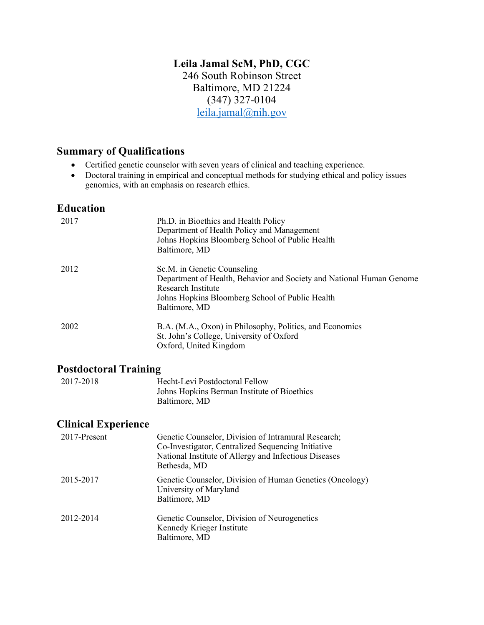# **Leila Jamal ScM, PhD, CGC**

 Baltimore, MD 21224 246 South Robinson Street (347) 327-0104 [leila.jamal@nih.gov](mailto:leila.jamal@nih.gov) 

#### **Summary of Qualifications**

- Certified genetic counselor with seven years of clinical and teaching experience.
- • Doctoral training in empirical and conceptual methods for studying ethical and policy issues genomics, with an emphasis on research ethics.

#### **Education**

| 2017 | Ph.D. in Bioethics and Health Policy<br>Department of Health Policy and Management<br>Johns Hopkins Bloomberg School of Public Health<br>Baltimore, MD                                        |
|------|-----------------------------------------------------------------------------------------------------------------------------------------------------------------------------------------------|
| 2012 | Sc.M. in Genetic Counseling<br>Department of Health, Behavior and Society and National Human Genome<br>Research Institute<br>Johns Hopkins Bloomberg School of Public Health<br>Baltimore, MD |
| 2002 | B.A. (M.A., Oxon) in Philosophy, Politics, and Economics<br>St. John's College, University of Oxford<br>Oxford, United Kingdom                                                                |

#### **Postdoctoral Training**

| 2017-2018 | Hecht-Levi Postdoctoral Fellow              |
|-----------|---------------------------------------------|
|           | Johns Hopkins Berman Institute of Bioethics |
|           | Baltimore, MD                               |

### **Clinical Experience**

| 2017-Present | Genetic Counselor, Division of Intramural Research;<br>Co-Investigator, Centralized Sequencing Initiative<br>National Institute of Allergy and Infectious Diseases<br>Bethesda, MD |
|--------------|------------------------------------------------------------------------------------------------------------------------------------------------------------------------------------|
| 2015-2017    | Genetic Counselor, Division of Human Genetics (Oncology)<br>University of Maryland<br>Baltimore, MD                                                                                |
| 2012-2014    | Genetic Counselor, Division of Neurogenetics<br>Kennedy Krieger Institute<br>Baltimore, MD                                                                                         |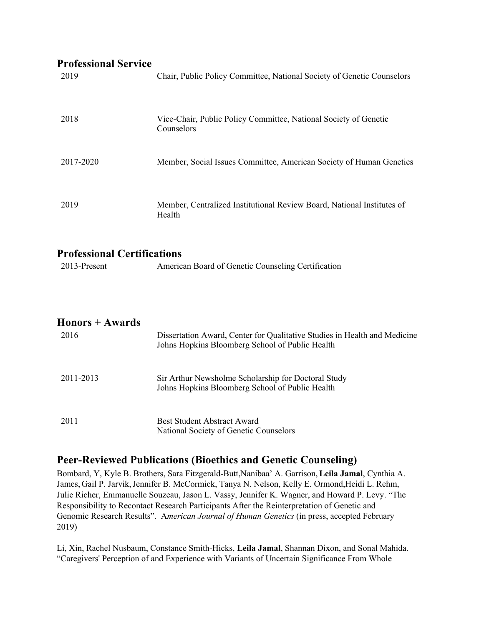# **Professional Service**

| Professional Service<br>2019                       | Chair, Public Policy Committee, National Society of Genetic Counselors                                                       |
|----------------------------------------------------|------------------------------------------------------------------------------------------------------------------------------|
| 2018                                               | Vice-Chair, Public Policy Committee, National Society of Genetic<br>Counselors                                               |
| 2017-2020                                          | Member, Social Issues Committee, American Society of Human Genetics                                                          |
| 2019                                               | Member, Centralized Institutional Review Board, National Institutes of<br>Health                                             |
| <b>Professional Certifications</b><br>2013-Present | American Board of Genetic Counseling Certification                                                                           |
| <b>Honors + Awards</b><br>2016                     | Dissertation Award, Center for Qualitative Studies in Health and Medicine<br>Johns Hopkins Bloomberg School of Public Health |
| 2011-2013                                          | Sir Arthur Newsholme Scholarship for Doctoral Study<br>Johns Hopkins Bloomberg School of Public Health                       |
| 2011                                               | <b>Best Student Abstract Award</b><br>National Society of Genetic Counselors                                                 |

# **Peer-Reviewed Publications (Bioethics and Genetic Counseling)**

 Bombard, Y, Kyle B. Brothers, Sara Fitzgerald-Butt,Nanibaa' A. Garrison, **Leila Jamal**, Cynthia A. James, Gail P. Jarvik, Jennifer B. McCormick, Tanya N. Nelson, Kelly E. Ormond,Heidi L. Rehm, Responsibility to Recontact Research Participants After the Reinterpretation of Genetic and Genomic Research Results". A*merican Journal of Human Genetics* (in press, accepted February Julie Richer, Emmanuelle Souzeau, Jason L. Vassy, Jennifer K. Wagner, and Howard P. Levy. "The 2019)

 Li, Xin, Rachel Nusbaum, Constance Smith-Hicks, **Leila Jamal**, Shannan Dixon, and Sonal Mahida. "Caregivers' Perception of and Experience with Variants of Uncertain Significance From Whole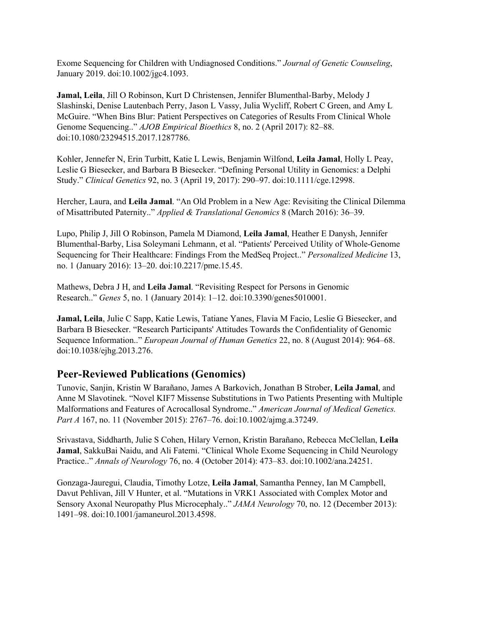Exome Sequencing for Children with Undiagnosed Conditions." *Journal of Genetic Counseling*, January 2019. doi:10.1002/jgc4.1093.

 **Jamal, Leila**, Jill O Robinson, Kurt D Christensen, Jennifer Blumenthal-Barby, Melody J Slashinski, Denise Lautenbach Perry, Jason L Vassy, Julia Wycliff, Robert C Green, and Amy L McGuire. "When Bins Blur: Patient Perspectives on Categories of Results From Clinical Whole Genome Sequencing.." *AJOB Empirical Bioethics* 8, no. 2 (April 2017): 82–88. doi:10.1080/23294515.2017.1287786.

 Kohler, Jennefer N, Erin Turbitt, Katie L Lewis, Benjamin Wilfond, **Leila Jamal**, Holly L Peay, Leslie G Biesecker, and Barbara B Biesecker. "Defining Personal Utility in Genomics: a Delphi Study." *Clinical Genetics* 92, no. 3 (April 19, 2017): 290–97. doi:10.1111/cge.12998.

 Hercher, Laura, and **Leila Jamal**. "An Old Problem in a New Age: Revisiting the Clinical Dilemma of Misattributed Paternity.." *Applied & Translational Genomics* 8 (March 2016): 36–39.

 Lupo, Philip J, Jill O Robinson, Pamela M Diamond, **Leila Jamal**, Heather E Danysh, Jennifer Blumenthal-Barby, Lisa Soleymani Lehmann, et al. "Patients' Perceived Utility of Whole-Genome Sequencing for Their Healthcare: Findings From the MedSeq Project.." *Personalized Medicine* 13, no. 1 (January 2016): 13–20. [doi:10.2217/pme.15.45](https://doi:10.2217/pme.15.45).

 Mathews, Debra J H, and **Leila Jamal**. "Revisiting Respect for Persons in Genomic Research.." *Genes* 5, no. 1 (January 2014): 1–12. doi:10.3390/genes5010001.

 **Jamal, Leila**, Julie C Sapp, Katie Lewis, Tatiane Yanes, Flavia M Facio, Leslie G Biesecker, and Barbara B Biesecker. "Research Participants' Attitudes Towards the Confidentiality of Genomic  Sequence Information.." *European Journal of Human Genetics* 22, no. 8 (August 2014): 964–68. doi:10.1038/ejhg.2013.276.

#### **Peer-Reviewed Publications (Genomics)**

 Tunovic, Sanjin, Kristin W Barañano, James A Barkovich, Jonathan B Strober, **Leila Jamal**, and Anne M Slavotinek. "Novel KIF7 Missense Substitutions in Two Patients Presenting with Multiple Malformations and Features of Acrocallosal Syndrome.." *American Journal of Medical Genetics. Part A* 167, no. 11 (November 2015): 2767–76. doi:10.1002/ajmg.a.37249.

 Srivastava, Siddharth, Julie S Cohen, Hilary Vernon, Kristin Barañano, Rebecca McClellan, **Leila Jamal**, SakkuBai Naidu, and Ali Fatemi. "Clinical Whole Exome Sequencing in Child Neurology  Practice.." *Annals of Neurology* 76, no. 4 (October 2014): 473–83. doi:10.1002/ana.24251.

 Davut Pehlivan, Jill V Hunter, et al. "Mutations in VRK1 Associated with Complex Motor and Sensory Axonal Neuropathy Plus Microcephaly.." *JAMA Neurology* 70, no. 12 (December 2013): Gonzaga-Jauregui, Claudia, Timothy Lotze, **Leila Jamal**, Samantha Penney, Ian M Campbell, 1491–98. doi:10.1001/jamaneurol.2013.4598.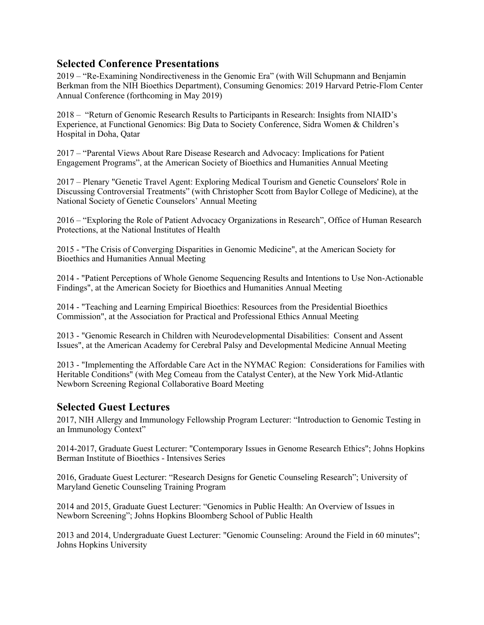#### **Selected Conference Presentations**

 2019 – "Re-Examining Nondirectiveness in the Genomic Era" (with Will Schupmann and Benjamin Berkman from the NIH Bioethics Department), Consuming Genomics: 2019 Harvard Petrie-Flom Center Annual Conference (forthcoming in May 2019)

 2018 – "Return of Genomic Research Results to Participants in Research: Insights from NIAID's Experience, at Functional Genomics: Big Data to Society Conference, Sidra Women & Children's Hospital in Doha, Qatar

 2017 – "Parental Views About Rare Disease Research and Advocacy: Implications for Patient Engagement Programs", at the American Society of Bioethics and Humanities Annual Meeting

 Discussing Controversial Treatments" (with Christopher Scott from Baylor College of Medicine), at the National Society of Genetic Counselors' Annual Meeting 2017 – Plenary "Genetic Travel Agent: Exploring Medical Tourism and Genetic Counselors' Role in

 2016 – "Exploring the Role of Patient Advocacy Organizations in Research", Office of Human Research Protections, at the National Institutes of Health

 2015 - "The Crisis of Converging Disparities in Genomic Medicine", at the American Society for Bioethics and Humanities Annual Meeting

 Findings", at the American Society for Bioethics and Humanities Annual Meeting 2014 - "Patient Perceptions of Whole Genome Sequencing Results and Intentions to Use Non-Actionable

 2014 - "Teaching and Learning Empirical Bioethics: Resources from the Presidential Bioethics Commission", at the Association for Practical and Professional Ethics Annual Meeting

 2013 - "Genomic Research in Children with Neurodevelopmental Disabilities: Consent and Assent Issues", at the American Academy for Cerebral Palsy and Developmental Medicine Annual Meeting

 Newborn Screening Regional Collaborative Board Meeting 2013 - "Implementing the Affordable Care Act in the NYMAC Region: Considerations for Families with Heritable Conditions" (with Meg Comeau from the Catalyst Center), at the New York Mid-Atlantic

#### **Selected Guest Lectures**

 2017, NIH Allergy and Immunology Fellowship Program Lecturer: "Introduction to Genomic Testing in an Immunology Context"

 2014-2017, Graduate Guest Lecturer: "Contemporary Issues in Genome Research Ethics"; Johns Hopkins Berman Institute of Bioethics - Intensives Series

 2016, Graduate Guest Lecturer: "Research Designs for Genetic Counseling Research"; University of Maryland Genetic Counseling Training Program

 2014 and 2015, Graduate Guest Lecturer: "Genomics in Public Health: An Overview of Issues in Newborn Screening"; Johns Hopkins Bloomberg School of Public Health

 2013 and 2014, Undergraduate Guest Lecturer: "Genomic Counseling: Around the Field in 60 minutes"; Johns Hopkins University